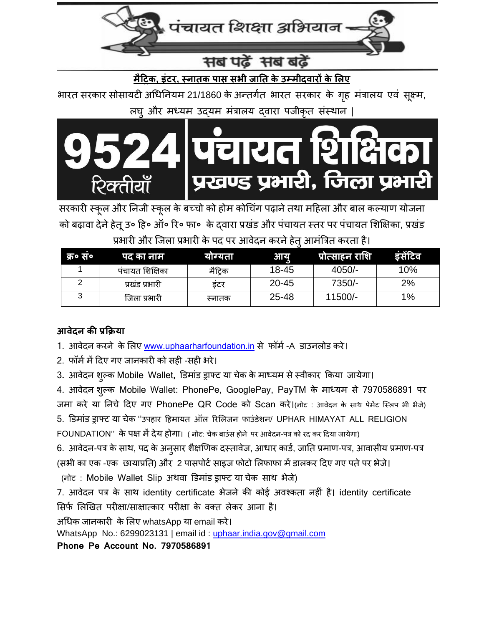

# **मैट्रिक, इंटर, स्नातक पास सभी जातत के उम्मीदवारों के लिए**

भारत सरकार सोसायटी अधिनियम 21/1860 के अन्तर्गत भारत सरकार के गृह मंत्रालय एवं सुक्ष्म, लघु और मध्यम उद्यम मंत्रालय दवारा पजीकृत संस्थान |



सरकारी स्कूल और निजी स्कूल के बच्चो को होम कोचिंग पढ़ाने तथा महिला और बाल कल्याण योजना को बढ़ावा देने हेतू उ० हि० ऑ० रि० फा० के द्वारा प्रखंड और पंचायत स्तर पर पंचायत शिक्षिका, प्रखंड प्रभारी और जिला प्रभारी के पद पर आवेदन करने हेतू आमंत्रित करता है।

| क्र• स॰ | पद का नाम       | याग्यता | आयु       | ,प्रोत्साहन राशि | इसेटिव |
|---------|-----------------|---------|-----------|------------------|--------|
|         | पंचायत शिक्षिका | मैटिक   | 18-45     | $4050/-$         | 10%    |
|         | प्रखंड प्रभारी  | डटर     | $20 - 45$ | 7350/-           | 2%     |
|         | जिला प्रभारी    | स्नातक  | 25-48     | 11500/-          | $1\%$  |

## **आवेदन की प्रक्रक्रया**

- 1. आवेदन करने के लिए [www.uphaarharfoundation.in](http://www.uphaarharfoundation.in/) से फॉर्म -A डाउनलोड करे।
- 2. फॉर्म में दिए गए जानकारी को सही -सही भरे।
- 3**.** आवेदि िुल्क Mobile Wallet**,** डडमांड ड्राफ्ट या चेक के माध्यम सेस्वीकार ककया जायेगा।

4. आवेदन शुल्क Mobile Wallet: PhonePe, GooglePay, PayTM के माध्यम से 7970586891 पर

जमा करे या निचे दिए गए PhonePe QR Code को Scan करे।(नोट : आवेदन के साथ पेमेंट स्लिप भी भेजे)

5. डिमांड ड्राफ्ट या चेक "उपहार हिमायत ऑल रिलिजन फाउंडेशन/ UPHAR HIMAYAT ALL RELIGION

FOUNDATION" के पक्ष में देय होगा। ( नोट: चेक बाउंस होने पर आवेदन-पत्र को रद कर दिया जायेगा)

6. आवेदन-पत्र के साथ, पद के अनुसार शैक्षणिक दस्तावेज, आधार कार्ड, जाति प्रमाण-पत्र, आवासीय प्रमाण-पत्र (सभी का एक -एक छायाप्रति) और 2 पासपोर्ट साइज फोटो लिफाफा में डालकर दिए गए पते पर भेजे।

(िोट : Mobile Wallet Slip अथवा डडमांड ड्राफ्ट या चेक साथ भेजे)

7. आवेदन पत्र के साथ identity certificate भेजने की कोई अवश्कता नहीं है। identity certificate सिर्फ लिखित परीक्षा/साक्षात्कार परीक्षा के वक्त लेकर आना है।

अधिक जानकारी के लिए whatsApp या email करे।

WhatsApp No.: 6299023131 | email id : [uphaar.india.gov@gmail.com](mailto:uphaar.india.gov@gmail.com)

**Phone Pe Account No. 7970586891**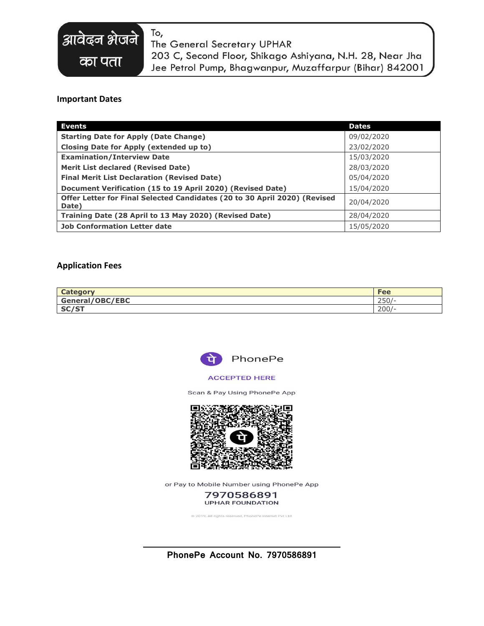# To,

The General Secretary UPHAR

203 C, Second Floor, Shikago Ashiyana, N.H. 28, Near Jha Jee Petrol Pump, Bhagwanpur, Muzaffarpur (Bihar) 842001

### **Important Dates**

आवेढ़न शेजने

का पता

| <b>Events</b>                                                                      | <b>Dates</b> |
|------------------------------------------------------------------------------------|--------------|
| <b>Starting Date for Apply (Date Change)</b>                                       | 09/02/2020   |
| Closing Date for Apply (extended up to)                                            | 23/02/2020   |
| <b>Examination/Interview Date</b>                                                  | 15/03/2020   |
| <b>Merit List declared (Revised Date)</b>                                          | 28/03/2020   |
| <b>Final Merit List Declaration (Revised Date)</b>                                 | 05/04/2020   |
| Document Verification (15 to 19 April 2020) (Revised Date)                         | 15/04/2020   |
| Offer Letter for Final Selected Candidates (20 to 30 April 2020) (Revised<br>Date) | 20/04/2020   |
| Training Date (28 April to 13 May 2020) (Revised Date)                             | 28/04/2020   |
| <b>Job Conformation Letter date</b>                                                | 15/05/2020   |

#### **Application Fees**

| Catagory        | Fee                  |
|-----------------|----------------------|
| General/OBC/EBC | $\cap$ $\cap$<br>ZJU |
| CCICT<br>SU(5)  | 200/                 |



#### **ACCEPTED HERE**

Scan & Pay Using PhonePe App



or Pay to Mobile Number using PhonePe App

7970586891 **UPHAR FOUNDATION** 

@ 2019, All rights reserved, PhonePe Internet Pvt Ltd.

**PhonePe Account No. 7970586891**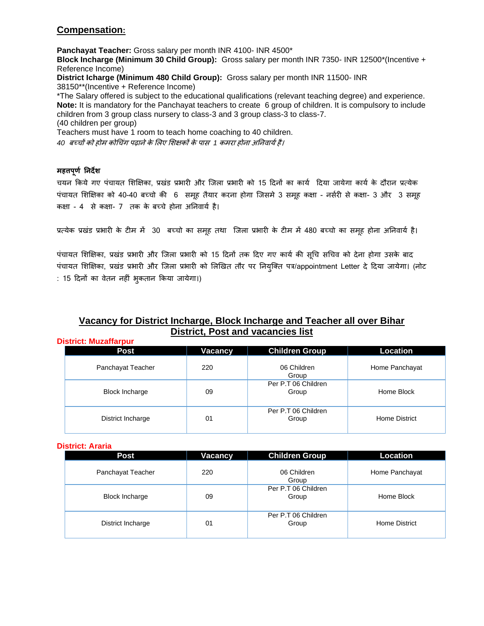## **Compensation:**

**Panchayat Teacher:** Gross salary per month INR 4100- INR 4500\* **Block Incharge (Minimum 30 Child Group):** Gross salary per month INR 7350- INR 12500\*(Incentive + Reference Income) **District Icharge (Minimum 480 Child Group):** Gross salary per month INR 11500- INR 38150\*\*(Incentive + Reference Income) \*The Salary offered is subject to the educational qualifications (relevant teaching degree) and experience. **Note:** It is mandatory for the Panchayat teachers to create 6 group of children. It is compulsory to include children from 3 group class nursery to class-3 and 3 group class-3 to class-7. (40 children per group) Teachers must have 1 room to teach home coaching to 40 children.

40 बच्चों को होम कोचिंग पढ़ाने के लिए शिक्षकों के पास<sup>9</sup>1 कमरा होना अनिवार्य है।

#### **महत्तपूर्ण तनदेि**

चयन किये गए पंचायत शिक्षिका, प्रखंड प्रभारी और जिला प्रभारी को 15 दिनों का कार्य दिया जायेगा कार्य के दौरान प्रत्येक पंचायत शिक्षिका को 40-40 बच्चो की 6 समूह तैयार करना होगा जिसमे 3 समूह कक्षा - नर्सरी से कक्षा- 3 और 3 समूह कक्षा - 4 से कक्षा- 7 तक के बच्चे होना अनिवार्य है।

प्रत्येक प्रखंड प्रभारी के टीम में 30 बच्चो का समूह तथा जिला प्रभारी के टीम में 480 बच्चो का समूह होना अनिवार्य है।

पंचायत शिक्षिका, प्रखंड प्रभारी और जिला प्रभारी को 15 दिनों तक दिए गए कार्य की सूचि सचिव को देना होगा उसके बाद पंचायत शिक्षिका, प्रखंड प्रभारी और जिला प्रभारी को लिखित तौर पर नियुक्ति पत्र/appointment Letter दे दिया जायेगा। (नोट : 15 दिनों का वेतन नहीं भुकतान किया जायेगा।)

## **Vacancy for District Incharge, Block Incharge and Teacher all over Bihar District, Post and vacancies list**

**District: Muzaffarpur**

| Post                  | <b>Vacancy</b> | <b>Children Group</b>        | Location       |
|-----------------------|----------------|------------------------------|----------------|
| Panchayat Teacher     | 220            | 06 Children<br>Group         | Home Panchayat |
| <b>Block Incharge</b> | 09             | Per P.T 06 Children<br>Group | Home Block     |
| District Incharge     | 01             | Per P.T 06 Children<br>Group | Home District  |

#### **District: Araria**

| Post                  | <b>Vacancy</b> | <b>Children Group</b>        | <b>Location</b> |
|-----------------------|----------------|------------------------------|-----------------|
| Panchayat Teacher     | 220            | 06 Children<br>Group         | Home Panchayat  |
| <b>Block Incharge</b> | 09             | Per P.T 06 Children<br>Group | Home Block      |
| District Incharge     | 01             | Per P.T 06 Children<br>Group | Home District   |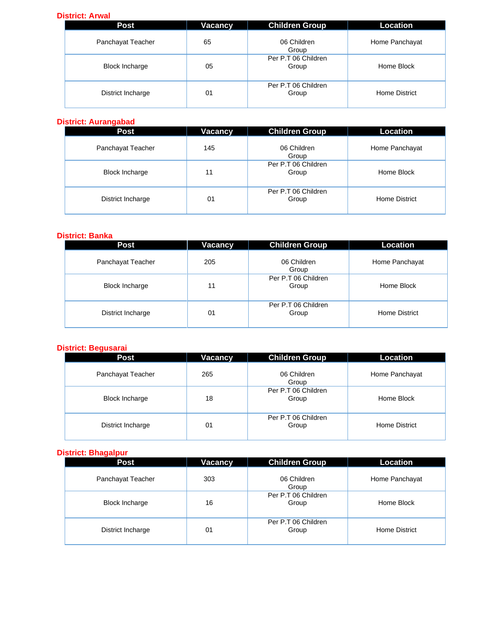#### **District: Arwal**

| <b>Post</b>           | Vacancy | <b>Children Group</b>        | Location       |
|-----------------------|---------|------------------------------|----------------|
| Panchayat Teacher     | 65      | 06 Children<br>Group         | Home Panchayat |
| <b>Block Incharge</b> | 05      | Per P.T 06 Children<br>Group | Home Block     |
| District Incharge     | 01      | Per P.T 06 Children<br>Group | Home District  |

#### **District: Aurangabad**

| <b>Post</b>           | Vacancy | <b>Children Group</b>        | Location       |
|-----------------------|---------|------------------------------|----------------|
| Panchayat Teacher     | 145     | 06 Children<br>Group         | Home Panchayat |
| <b>Block Incharge</b> | 11      | Per P.T 06 Children<br>Group | Home Block     |
| District Incharge     | 01      | Per P.T 06 Children<br>Group | Home District  |

## **District: Banka**

| <b>Post</b>           | Vacancy | <b>Children Group</b>        | Location       |
|-----------------------|---------|------------------------------|----------------|
| Panchayat Teacher     | 205     | 06 Children<br>Group         | Home Panchayat |
| <b>Block Incharge</b> | 11      | Per P.T 06 Children<br>Group | Home Block     |
| District Incharge     | 01      | Per P.T 06 Children<br>Group | Home District  |

#### **District: Begusarai**

| <b>Post</b>           | Vacancy | <b>Children Group</b>        | <b>Location</b> |
|-----------------------|---------|------------------------------|-----------------|
| Panchayat Teacher     | 265     | 06 Children<br>Group         | Home Panchayat  |
| <b>Block Incharge</b> | 18      | Per P.T 06 Children<br>Group | Home Block      |
| District Incharge     | 01      | Per P.T 06 Children<br>Group | Home District   |

## **District: Bhagalpur**

| <b>Post</b>           | <b>Vacancy</b> | <b>Children Group</b>        | <b>Location</b> |
|-----------------------|----------------|------------------------------|-----------------|
| Panchayat Teacher     | 303            | 06 Children<br>Group         | Home Panchayat  |
| <b>Block Incharge</b> | 16             | Per P.T 06 Children<br>Group | Home Block      |
| District Incharge     | 01             | Per P.T 06 Children<br>Group | Home District   |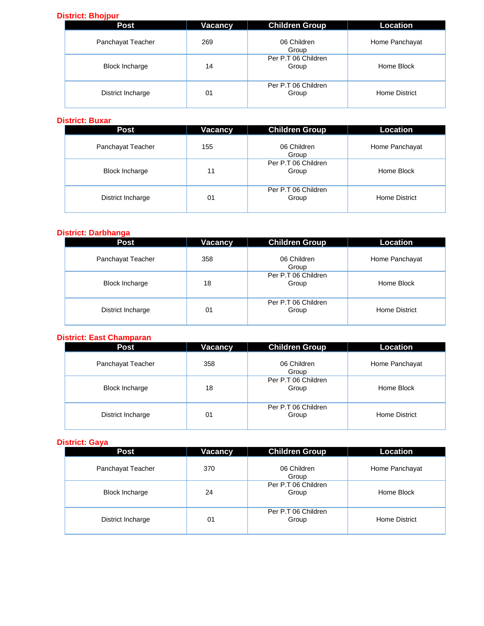### **District: Bhojpur**

| <b>Post</b>           | Vacancy | <b>Children Group</b>        | Location       |
|-----------------------|---------|------------------------------|----------------|
| Panchayat Teacher     | 269     | 06 Children<br>Group         | Home Panchayat |
| <b>Block Incharge</b> | 14      | Per P.T 06 Children<br>Group | Home Block     |
| District Incharge     | 01      | Per P.T 06 Children<br>Group | Home District  |

#### **District: Buxar**

| <b>Post</b>           | Vacancy | <b>Children Group</b>        | Location       |
|-----------------------|---------|------------------------------|----------------|
| Panchayat Teacher     | 155     | 06 Children<br>Group         | Home Panchayat |
| <b>Block Incharge</b> | 11      | Per P.T 06 Children<br>Group | Home Block     |
| District Incharge     | 01      | Per P.T 06 Children<br>Group | Home District  |

#### **District: Darbhanga**

| <b>Post</b>           | Vacancy | <b>Children Group</b>        | Location       |
|-----------------------|---------|------------------------------|----------------|
| Panchayat Teacher     | 358     | 06 Children<br>Group         | Home Panchayat |
| <b>Block Incharge</b> | 18      | Per P.T 06 Children<br>Group | Home Block     |
| District Incharge     | 01      | Per P.T 06 Children<br>Group | Home District  |

#### **District: East Champaran**

| <b>Post</b>           | Vacancy | <b>Children Group</b>        | Location       |
|-----------------------|---------|------------------------------|----------------|
| Panchayat Teacher     | 358     | 06 Children<br>Group         | Home Panchayat |
| <b>Block Incharge</b> | 18      | Per P.T 06 Children<br>Group | Home Block     |
| District Incharge     | 01      | Per P.T 06 Children<br>Group | Home District  |

#### **District: Gaya**

| <b>Post</b>           | <b>Vacancy</b> | <b>Children Group</b>        | Location       |
|-----------------------|----------------|------------------------------|----------------|
| Panchayat Teacher     | 370            | 06 Children<br>Group         | Home Panchayat |
| <b>Block Incharge</b> | 24             | Per P.T 06 Children<br>Group | Home Block     |
| District Incharge     | 01             | Per P.T 06 Children<br>Group | Home District  |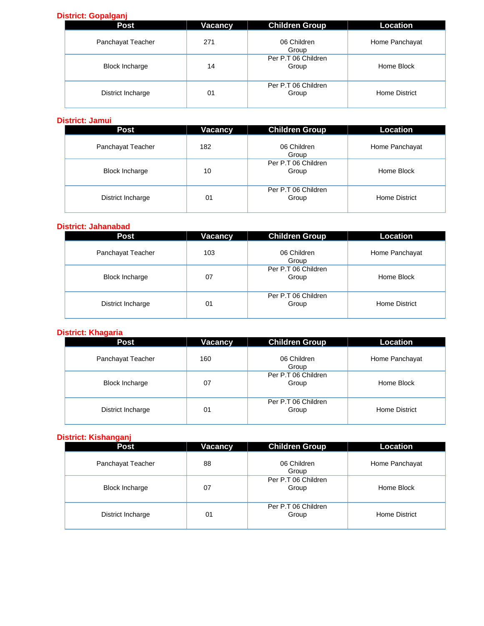## **District: Gopalganj**

| <b>Post</b>           | Vacancy | <b>Children Group</b>        | Location       |
|-----------------------|---------|------------------------------|----------------|
| Panchayat Teacher     | 271     | 06 Children<br>Group         | Home Panchayat |
| <b>Block Incharge</b> | 14      | Per P.T 06 Children<br>Group | Home Block     |
| District Incharge     | 01      | Per P.T 06 Children<br>Group | Home District  |

#### **District: Jamui**

| <b>Post</b>           | <b>Vacancy</b> | <b>Children Group</b>        | Location       |
|-----------------------|----------------|------------------------------|----------------|
| Panchayat Teacher     | 182            | 06 Children<br>Group         | Home Panchayat |
| <b>Block Incharge</b> | 10             | Per P.T 06 Children<br>Group | Home Block     |
| District Incharge     | 01             | Per P.T 06 Children<br>Group | Home District  |

#### **District: Jahanabad**

| Post                  | Vacancy | <b>Children Group</b>        | <b>Location</b> |
|-----------------------|---------|------------------------------|-----------------|
| Panchayat Teacher     | 103     | 06 Children<br>Group         | Home Panchayat  |
| <b>Block Incharge</b> | 07      | Per P.T 06 Children<br>Group | Home Block      |
| District Incharge     | 01      | Per P.T 06 Children<br>Group | Home District   |

## **District: Khagaria**

| <b>Post</b>           | Vacancy | <b>Children Group</b>        | Location       |
|-----------------------|---------|------------------------------|----------------|
| Panchayat Teacher     | 160     | 06 Children<br>Group         | Home Panchayat |
| <b>Block Incharge</b> | 07      | Per P.T 06 Children<br>Group | Home Block     |
| District Incharge     | 01      | Per P.T 06 Children<br>Group | Home District  |

### **District: Kishanganj**

| - -<br><b>Post</b>    | Vacancy | <b>Children Group</b>        | Location       |
|-----------------------|---------|------------------------------|----------------|
| Panchayat Teacher     | 88      | 06 Children<br>Group         | Home Panchayat |
| <b>Block Incharge</b> | 07      | Per P.T 06 Children<br>Group | Home Block     |
| District Incharge     | 01      | Per P.T 06 Children<br>Group | Home District  |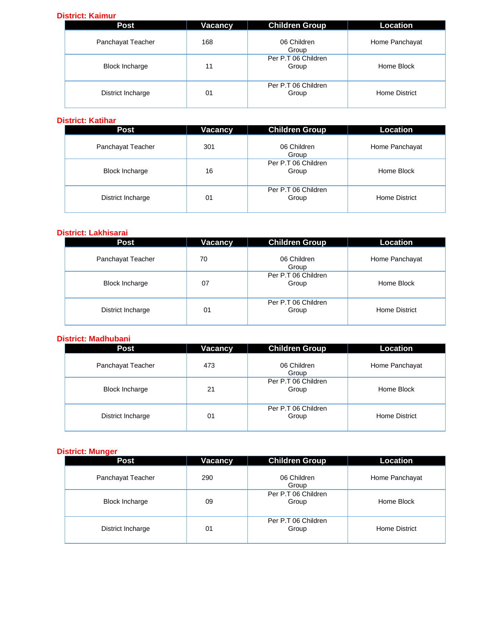#### **District: Kaimur**

| <b>Post</b>           | Vacancy | <b>Children Group</b>        | Location       |
|-----------------------|---------|------------------------------|----------------|
| Panchayat Teacher     | 168     | 06 Children<br>Group         | Home Panchayat |
| <b>Block Incharge</b> | 11      | Per P.T 06 Children<br>Group | Home Block     |
| District Incharge     | 01      | Per P.T 06 Children<br>Group | Home District  |

#### **District: Katihar**

| <b>Post</b>           | Vacancy | <b>Children Group</b>        | Location       |
|-----------------------|---------|------------------------------|----------------|
| Panchayat Teacher     | 301     | 06 Children<br>Group         | Home Panchayat |
| <b>Block Incharge</b> | 16      | Per P.T 06 Children<br>Group | Home Block     |
| District Incharge     | 01      | Per P.T 06 Children<br>Group | Home District  |

#### **District: Lakhisarai**

| Post                  | Vacancy | <b>Children Group</b>        | Location       |
|-----------------------|---------|------------------------------|----------------|
| Panchayat Teacher     | 70      | 06 Children<br>Group         | Home Panchayat |
| <b>Block Incharge</b> | 07      | Per P.T 06 Children<br>Group | Home Block     |
| District Incharge     | 01      | Per P.T 06 Children<br>Group | Home District  |

#### **District: Madhubani**

| Post                  | <b>Vacancy</b> | <b>Children Group</b>        | <b>Location</b> |
|-----------------------|----------------|------------------------------|-----------------|
| Panchayat Teacher     | 473            | 06 Children<br>Group         | Home Panchayat  |
| <b>Block Incharge</b> | 21             | Per P.T 06 Children<br>Group | Home Block      |
| District Incharge     | 01             | Per P.T 06 Children<br>Group | Home District   |

#### **District: Munger**

| <b>Post</b>           | Vacancy | <b>Children Group</b>        | Location       |
|-----------------------|---------|------------------------------|----------------|
| Panchayat Teacher     | 290     | 06 Children<br>Group         | Home Panchayat |
| <b>Block Incharge</b> | 09      | Per P.T 06 Children<br>Group | Home Block     |
| District Incharge     | 01      | Per P.T 06 Children<br>Group | Home District  |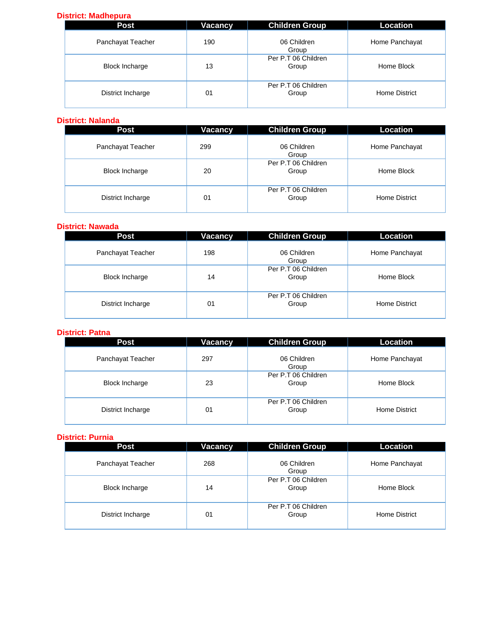## **District: Madhepura**

| <b>Post</b>           | Vacancy | <b>Children Group</b>        | Location       |
|-----------------------|---------|------------------------------|----------------|
| Panchayat Teacher     | 190     | 06 Children<br>Group         | Home Panchayat |
| <b>Block Incharge</b> | 13      | Per P.T 06 Children<br>Group | Home Block     |
| District Incharge     | 01      | Per P.T 06 Children<br>Group | Home District  |

#### **District: Nalanda**

| <b>Post</b>           | Vacancy | <b>Children Group</b>        | Location       |
|-----------------------|---------|------------------------------|----------------|
| Panchayat Teacher     | 299     | 06 Children<br>Group         | Home Panchayat |
| <b>Block Incharge</b> | 20      | Per P.T 06 Children<br>Group | Home Block     |
| District Incharge     | 01      | Per P.T 06 Children<br>Group | Home District  |

#### **District: Nawada**

| Post                  | <b>Vacancy</b> | <b>Children Group</b>        | <b>Location</b> |
|-----------------------|----------------|------------------------------|-----------------|
| Panchayat Teacher     | 198            | 06 Children<br>Group         | Home Panchayat  |
| <b>Block Incharge</b> | 14             | Per P.T 06 Children<br>Group | Home Block      |
| District Incharge     | 01             | Per P.T 06 Children<br>Group | Home District   |

### **District: Patna**

| <b>Post</b>           | Vacancy | <b>Children Group</b>        | Location       |
|-----------------------|---------|------------------------------|----------------|
| Panchayat Teacher     | 297     | 06 Children<br>Group         | Home Panchayat |
| <b>Block Incharge</b> | 23      | Per P.T 06 Children<br>Group | Home Block     |
| District Incharge     | 01      | Per P.T 06 Children<br>Group | Home District  |

### **District: Purnia**

| Post                  | Vacancy | <b>Children Group</b>        | Location       |
|-----------------------|---------|------------------------------|----------------|
| Panchayat Teacher     | 268     | 06 Children<br>Group         | Home Panchayat |
| <b>Block Incharge</b> | 14      | Per P.T 06 Children<br>Group | Home Block     |
| District Incharge     | 01      | Per P.T 06 Children<br>Group | Home District  |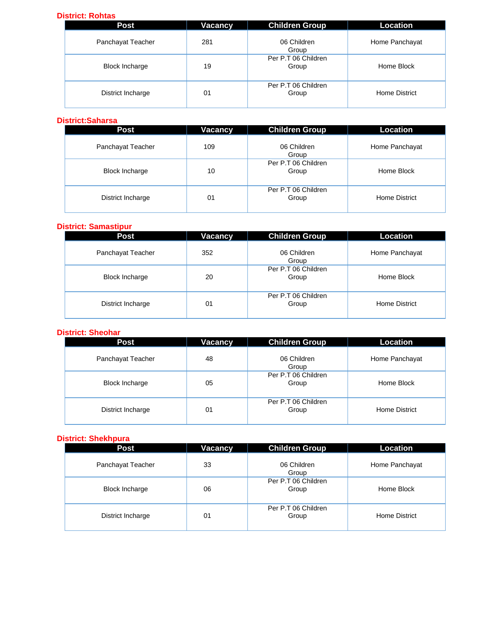#### **District: Rohtas**

| Post                  | Vacancy | <b>Children Group</b>        | <b>Location</b> |
|-----------------------|---------|------------------------------|-----------------|
| Panchayat Teacher     | 281     | 06 Children<br>Group         | Home Panchayat  |
| <b>Block Incharge</b> | 19      | Per P.T 06 Children<br>Group | Home Block      |
| District Incharge     | 01      | Per P.T 06 Children<br>Group | Home District   |

#### **District:Saharsa**

| <b>Post</b>           | Vacancy | <b>Children Group</b>        | Location       |
|-----------------------|---------|------------------------------|----------------|
| Panchayat Teacher     | 109     | 06 Children<br>Group         | Home Panchayat |
| <b>Block Incharge</b> | 10      | Per P.T 06 Children<br>Group | Home Block     |
| District Incharge     | 01      | Per P.T 06 Children<br>Group | Home District  |

#### **District: Samastipur**

| <b>Post</b>           | Vacancy | <b>Children Group</b>        | Location       |
|-----------------------|---------|------------------------------|----------------|
| Panchayat Teacher     | 352     | 06 Children<br>Group         | Home Panchayat |
| <b>Block Incharge</b> | 20      | Per P.T 06 Children<br>Group | Home Block     |
| District Incharge     | 01      | Per P.T 06 Children<br>Group | Home District  |

## **District: Sheohar**

| <b>Post</b>           | Vacancy | <b>Children Group</b>        | Location       |
|-----------------------|---------|------------------------------|----------------|
| Panchayat Teacher     | 48      | 06 Children<br>Group         | Home Panchayat |
| <b>Block Incharge</b> | 05      | Per P.T 06 Children<br>Group | Home Block     |
| District Incharge     | 01      | Per P.T 06 Children<br>Group | Home District  |

#### **District: Shekhpura**

| <b>Post</b>           | Vacancy | <b>Children Group</b>        | Location       |
|-----------------------|---------|------------------------------|----------------|
| Panchayat Teacher     | 33      | 06 Children<br>Group         | Home Panchayat |
| <b>Block Incharge</b> | 06      | Per P.T 06 Children<br>Group | Home Block     |
| District Incharge     | 01      | Per P.T 06 Children<br>Group | Home District  |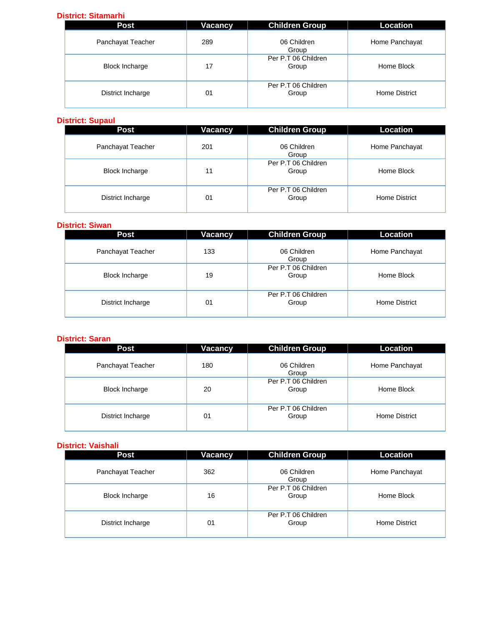### **District: Sitamarhi**

| Post                  | Vacancy | <b>Children Group</b>        | Location       |
|-----------------------|---------|------------------------------|----------------|
| Panchayat Teacher     | 289     | 06 Children<br>Group         | Home Panchayat |
| <b>Block Incharge</b> | 17      | Per P.T 06 Children<br>Group | Home Block     |
| District Incharge     | 01      | Per P.T 06 Children<br>Group | Home District  |

#### **District: Supaul**

| <b>Post</b>           | Vacancy | <b>Children Group</b>        | Location       |
|-----------------------|---------|------------------------------|----------------|
| Panchayat Teacher     | 201     | 06 Children<br>Group         | Home Panchayat |
| <b>Block Incharge</b> | 11      | Per P.T 06 Children<br>Group | Home Block     |
| District Incharge     | 01      | Per P.T 06 Children<br>Group | Home District  |

#### **District: Siwan**

| <b>Post</b>           | Vacancy        | <b>Children Group</b>        | <b>Location</b> |
|-----------------------|----------------|------------------------------|-----------------|
| Panchayat Teacher     | 133            | 06 Children<br>Group         | Home Panchayat  |
| <b>Block Incharge</b> | 19             | Per P.T 06 Children<br>Group | Home Block      |
| District Incharge     | 0 <sup>1</sup> | Per P.T 06 Children<br>Group | Home District   |

#### **District: Saran**

| Post                  | Vacancy | <b>Children Group</b>        | Location       |
|-----------------------|---------|------------------------------|----------------|
| Panchayat Teacher     | 180     | 06 Children<br>Group         | Home Panchayat |
| <b>Block Incharge</b> | 20      | Per P.T 06 Children<br>Group | Home Block     |
| District Incharge     | 01      | Per P.T 06 Children<br>Group | Home District  |

#### **District: Vaishali**

| Post                  | <b>Vacancy</b> | <b>Children Group</b>        | <b>Location</b> |
|-----------------------|----------------|------------------------------|-----------------|
| Panchayat Teacher     | 362            | 06 Children<br>Group         | Home Panchayat  |
| <b>Block Incharge</b> | 16             | Per P.T 06 Children<br>Group | Home Block      |
| District Incharge     | 01             | Per P.T 06 Children<br>Group | Home District   |